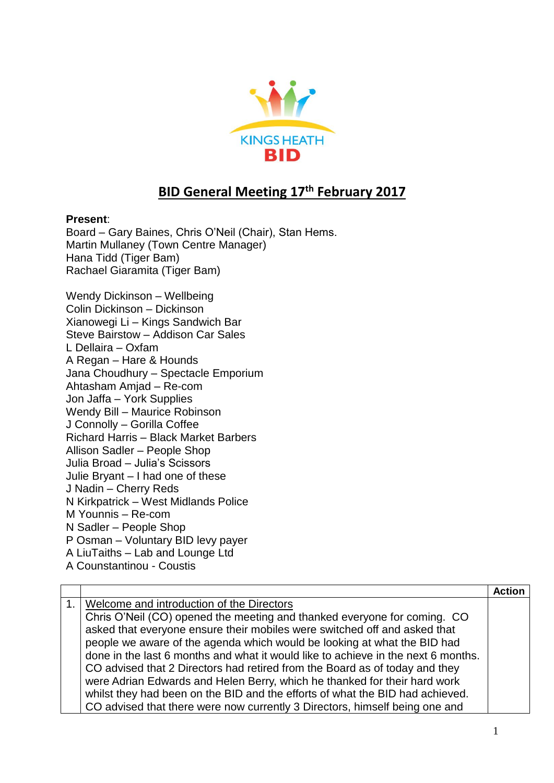

## **BID General Meeting 17th February 2017**

## **Present**:

Board – Gary Baines, Chris O'Neil (Chair), Stan Hems. Martin Mullaney (Town Centre Manager) Hana Tidd (Tiger Bam) Rachael Giaramita (Tiger Bam)

Wendy Dickinson – Wellbeing Colin Dickinson – Dickinson Xianowegi Li – Kings Sandwich Bar Steve Bairstow – Addison Car Sales L Dellaira – Oxfam A Regan – Hare & Hounds Jana Choudhury – Spectacle Emporium Ahtasham Amjad – Re-com Jon Jaffa – York Supplies Wendy Bill – Maurice Robinson J Connolly – Gorilla Coffee Richard Harris – Black Market Barbers Allison Sadler – People Shop Julia Broad – Julia's Scissors Julie Bryant – I had one of these J Nadin – Cherry Reds N Kirkpatrick – West Midlands Police M Younnis – Re-com N Sadler – People Shop P Osman – Voluntary BID levy payer A LiuTaiths – Lab and Lounge Ltd

A Counstantinou - Coustis

|                                                                                   | Action |
|-----------------------------------------------------------------------------------|--------|
| 1. Welcome and introduction of the Directors                                      |        |
| Chris O'Neil (CO) opened the meeting and thanked everyone for coming. CO          |        |
| asked that everyone ensure their mobiles were switched off and asked that         |        |
| people we aware of the agenda which would be looking at what the BID had          |        |
| done in the last 6 months and what it would like to achieve in the next 6 months. |        |
| CO advised that 2 Directors had retired from the Board as of today and they       |        |
| were Adrian Edwards and Helen Berry, which he thanked for their hard work         |        |
| whilst they had been on the BID and the efforts of what the BID had achieved.     |        |
| CO advised that there were now currently 3 Directors, himself being one and       |        |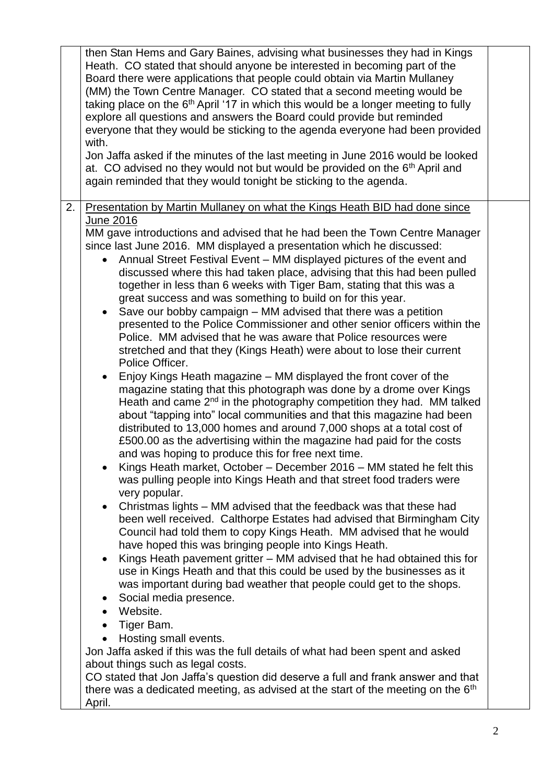| with.        | then Stan Hems and Gary Baines, advising what businesses they had in Kings<br>Heath. CO stated that should anyone be interested in becoming part of the<br>Board there were applications that people could obtain via Martin Mullaney<br>(MM) the Town Centre Manager. CO stated that a second meeting would be<br>taking place on the $6th$ April '17 in which this would be a longer meeting to fully<br>explore all questions and answers the Board could provide but reminded<br>everyone that they would be sticking to the agenda everyone had been provided<br>Jon Jaffa asked if the minutes of the last meeting in June 2016 would be looked<br>at. CO advised no they would not but would be provided on the 6 <sup>th</sup> April and<br>again reminded that they would tonight be sticking to the agenda.                                                                                                                                                                                                                                                                                                                                                                                                                                                                                                                                                                                                                                                                                                                                                                                                                                                                                                                                                                                                                                                                                                                                                                                                                                                                                                                                                                                                                                                                                                                                                                                                                                                                                         |  |
|--------------|---------------------------------------------------------------------------------------------------------------------------------------------------------------------------------------------------------------------------------------------------------------------------------------------------------------------------------------------------------------------------------------------------------------------------------------------------------------------------------------------------------------------------------------------------------------------------------------------------------------------------------------------------------------------------------------------------------------------------------------------------------------------------------------------------------------------------------------------------------------------------------------------------------------------------------------------------------------------------------------------------------------------------------------------------------------------------------------------------------------------------------------------------------------------------------------------------------------------------------------------------------------------------------------------------------------------------------------------------------------------------------------------------------------------------------------------------------------------------------------------------------------------------------------------------------------------------------------------------------------------------------------------------------------------------------------------------------------------------------------------------------------------------------------------------------------------------------------------------------------------------------------------------------------------------------------------------------------------------------------------------------------------------------------------------------------------------------------------------------------------------------------------------------------------------------------------------------------------------------------------------------------------------------------------------------------------------------------------------------------------------------------------------------------------------------------------------------------------------------------------------------------|--|
| 2.<br>April. | Presentation by Martin Mullaney on what the Kings Heath BID had done since<br><u>June 2016</u><br>MM gave introductions and advised that he had been the Town Centre Manager<br>since last June 2016. MM displayed a presentation which he discussed:<br>Annual Street Festival Event - MM displayed pictures of the event and<br>discussed where this had taken place, advising that this had been pulled<br>together in less than 6 weeks with Tiger Bam, stating that this was a<br>great success and was something to build on for this year.<br>Save our bobby campaign - MM advised that there was a petition<br>presented to the Police Commissioner and other senior officers within the<br>Police. MM advised that he was aware that Police resources were<br>stretched and that they (Kings Heath) were about to lose their current<br>Police Officer.<br>Enjoy Kings Heath magazine - MM displayed the front cover of the<br>$\bullet$<br>magazine stating that this photograph was done by a drome over Kings<br>Heath and came 2 <sup>nd</sup> in the photography competition they had. MM talked<br>about "tapping into" local communities and that this magazine had been<br>distributed to 13,000 homes and around 7,000 shops at a total cost of<br>£500.00 as the advertising within the magazine had paid for the costs<br>and was hoping to produce this for free next time.<br>Kings Heath market, October – December 2016 – MM stated he felt this<br>was pulling people into Kings Heath and that street food traders were<br>very popular.<br>Christmas lights – MM advised that the feedback was that these had<br>$\bullet$<br>been well received. Calthorpe Estates had advised that Birmingham City<br>Council had told them to copy Kings Heath. MM advised that he would<br>have hoped this was bringing people into Kings Heath.<br>Kings Heath pavement gritter – MM advised that he had obtained this for<br>$\bullet$<br>use in Kings Heath and that this could be used by the businesses as it<br>was important during bad weather that people could get to the shops.<br>Social media presence.<br>$\bullet$<br>Website.<br>Tiger Bam.<br>Hosting small events.<br>Jon Jaffa asked if this was the full details of what had been spent and asked<br>about things such as legal costs.<br>CO stated that Jon Jaffa's question did deserve a full and frank answer and that<br>there was a dedicated meeting, as advised at the start of the meeting on the 6 <sup>th</sup> |  |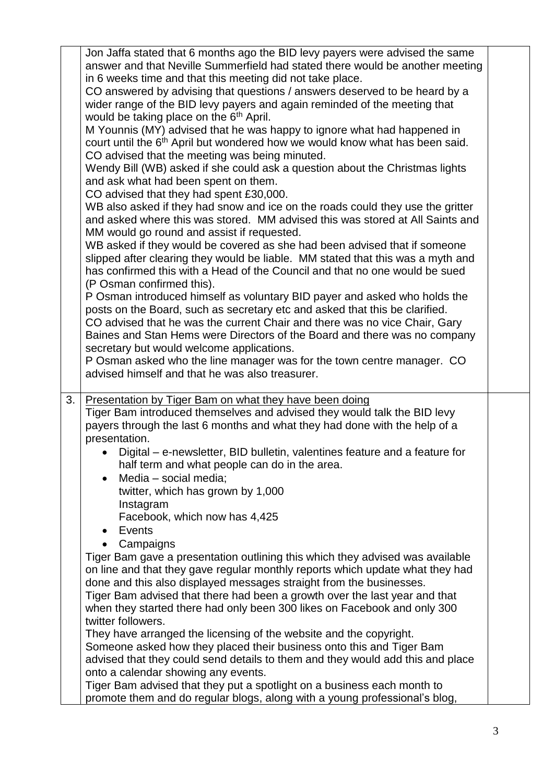|    | Jon Jaffa stated that 6 months ago the BID levy payers were advised the same<br>answer and that Neville Summerfield had stated there would be another meeting<br>in 6 weeks time and that this meeting did not take place.<br>CO answered by advising that questions / answers deserved to be heard by a<br>wider range of the BID levy payers and again reminded of the meeting that<br>would be taking place on the 6 <sup>th</sup> April.<br>M Younnis (MY) advised that he was happy to ignore what had happened in<br>court until the 6 <sup>th</sup> April but wondered how we would know what has been said.<br>CO advised that the meeting was being minuted.<br>Wendy Bill (WB) asked if she could ask a question about the Christmas lights<br>and ask what had been spent on them.<br>CO advised that they had spent £30,000.<br>WB also asked if they had snow and ice on the roads could they use the gritter<br>and asked where this was stored. MM advised this was stored at All Saints and<br>MM would go round and assist if requested.<br>WB asked if they would be covered as she had been advised that if someone<br>slipped after clearing they would be liable. MM stated that this was a myth and<br>has confirmed this with a Head of the Council and that no one would be sued<br>(P Osman confirmed this).<br>P Osman introduced himself as voluntary BID payer and asked who holds the<br>posts on the Board, such as secretary etc and asked that this be clarified.<br>CO advised that he was the current Chair and there was no vice Chair, Gary<br>Baines and Stan Hems were Directors of the Board and there was no company<br>secretary but would welcome applications.<br>P Osman asked who the line manager was for the town centre manager. CO<br>advised himself and that he was also treasurer. |  |
|----|----------------------------------------------------------------------------------------------------------------------------------------------------------------------------------------------------------------------------------------------------------------------------------------------------------------------------------------------------------------------------------------------------------------------------------------------------------------------------------------------------------------------------------------------------------------------------------------------------------------------------------------------------------------------------------------------------------------------------------------------------------------------------------------------------------------------------------------------------------------------------------------------------------------------------------------------------------------------------------------------------------------------------------------------------------------------------------------------------------------------------------------------------------------------------------------------------------------------------------------------------------------------------------------------------------------------------------------------------------------------------------------------------------------------------------------------------------------------------------------------------------------------------------------------------------------------------------------------------------------------------------------------------------------------------------------------------------------------------------------------------------------------------------------------------------------------------------------|--|
| 3. | <b>Presentation by Tiger Bam on what they have been doing</b><br>Tiger Bam introduced themselves and advised they would talk the BID levy                                                                                                                                                                                                                                                                                                                                                                                                                                                                                                                                                                                                                                                                                                                                                                                                                                                                                                                                                                                                                                                                                                                                                                                                                                                                                                                                                                                                                                                                                                                                                                                                                                                                                              |  |
|    | payers through the last 6 months and what they had done with the help of a<br>presentation.                                                                                                                                                                                                                                                                                                                                                                                                                                                                                                                                                                                                                                                                                                                                                                                                                                                                                                                                                                                                                                                                                                                                                                                                                                                                                                                                                                                                                                                                                                                                                                                                                                                                                                                                            |  |
|    | Digital – e-newsletter, BID bulletin, valentines feature and a feature for<br>half term and what people can do in the area.                                                                                                                                                                                                                                                                                                                                                                                                                                                                                                                                                                                                                                                                                                                                                                                                                                                                                                                                                                                                                                                                                                                                                                                                                                                                                                                                                                                                                                                                                                                                                                                                                                                                                                            |  |
|    | Media - social media;<br>$\bullet$                                                                                                                                                                                                                                                                                                                                                                                                                                                                                                                                                                                                                                                                                                                                                                                                                                                                                                                                                                                                                                                                                                                                                                                                                                                                                                                                                                                                                                                                                                                                                                                                                                                                                                                                                                                                     |  |
|    | twitter, which has grown by 1,000<br>Instagram                                                                                                                                                                                                                                                                                                                                                                                                                                                                                                                                                                                                                                                                                                                                                                                                                                                                                                                                                                                                                                                                                                                                                                                                                                                                                                                                                                                                                                                                                                                                                                                                                                                                                                                                                                                         |  |
|    | Facebook, which now has 4,425                                                                                                                                                                                                                                                                                                                                                                                                                                                                                                                                                                                                                                                                                                                                                                                                                                                                                                                                                                                                                                                                                                                                                                                                                                                                                                                                                                                                                                                                                                                                                                                                                                                                                                                                                                                                          |  |
|    | Events<br>Campaigns                                                                                                                                                                                                                                                                                                                                                                                                                                                                                                                                                                                                                                                                                                                                                                                                                                                                                                                                                                                                                                                                                                                                                                                                                                                                                                                                                                                                                                                                                                                                                                                                                                                                                                                                                                                                                    |  |
|    | Tiger Bam gave a presentation outlining this which they advised was available                                                                                                                                                                                                                                                                                                                                                                                                                                                                                                                                                                                                                                                                                                                                                                                                                                                                                                                                                                                                                                                                                                                                                                                                                                                                                                                                                                                                                                                                                                                                                                                                                                                                                                                                                          |  |
|    | on line and that they gave regular monthly reports which update what they had<br>done and this also displayed messages straight from the businesses.                                                                                                                                                                                                                                                                                                                                                                                                                                                                                                                                                                                                                                                                                                                                                                                                                                                                                                                                                                                                                                                                                                                                                                                                                                                                                                                                                                                                                                                                                                                                                                                                                                                                                   |  |
|    | Tiger Bam advised that there had been a growth over the last year and that                                                                                                                                                                                                                                                                                                                                                                                                                                                                                                                                                                                                                                                                                                                                                                                                                                                                                                                                                                                                                                                                                                                                                                                                                                                                                                                                                                                                                                                                                                                                                                                                                                                                                                                                                             |  |
|    | when they started there had only been 300 likes on Facebook and only 300<br>twitter followers.                                                                                                                                                                                                                                                                                                                                                                                                                                                                                                                                                                                                                                                                                                                                                                                                                                                                                                                                                                                                                                                                                                                                                                                                                                                                                                                                                                                                                                                                                                                                                                                                                                                                                                                                         |  |
|    | They have arranged the licensing of the website and the copyright.                                                                                                                                                                                                                                                                                                                                                                                                                                                                                                                                                                                                                                                                                                                                                                                                                                                                                                                                                                                                                                                                                                                                                                                                                                                                                                                                                                                                                                                                                                                                                                                                                                                                                                                                                                     |  |
|    | Someone asked how they placed their business onto this and Tiger Bam                                                                                                                                                                                                                                                                                                                                                                                                                                                                                                                                                                                                                                                                                                                                                                                                                                                                                                                                                                                                                                                                                                                                                                                                                                                                                                                                                                                                                                                                                                                                                                                                                                                                                                                                                                   |  |
|    | advised that they could send details to them and they would add this and place<br>onto a calendar showing any events.                                                                                                                                                                                                                                                                                                                                                                                                                                                                                                                                                                                                                                                                                                                                                                                                                                                                                                                                                                                                                                                                                                                                                                                                                                                                                                                                                                                                                                                                                                                                                                                                                                                                                                                  |  |
|    | Tiger Bam advised that they put a spotlight on a business each month to                                                                                                                                                                                                                                                                                                                                                                                                                                                                                                                                                                                                                                                                                                                                                                                                                                                                                                                                                                                                                                                                                                                                                                                                                                                                                                                                                                                                                                                                                                                                                                                                                                                                                                                                                                |  |
|    |                                                                                                                                                                                                                                                                                                                                                                                                                                                                                                                                                                                                                                                                                                                                                                                                                                                                                                                                                                                                                                                                                                                                                                                                                                                                                                                                                                                                                                                                                                                                                                                                                                                                                                                                                                                                                                        |  |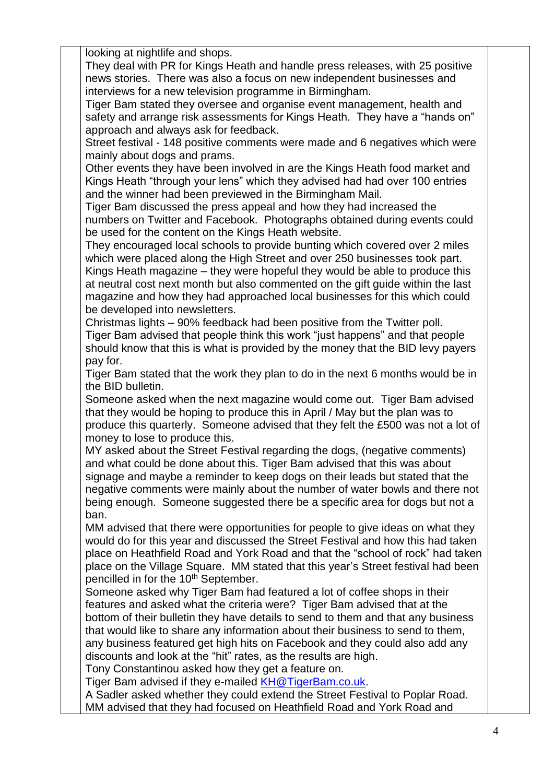looking at nightlife and shops.

They deal with PR for Kings Heath and handle press releases, with 25 positive news stories. There was also a focus on new independent businesses and interviews for a new television programme in Birmingham.

Tiger Bam stated they oversee and organise event management, health and safety and arrange risk assessments for Kings Heath. They have a "hands on" approach and always ask for feedback.

Street festival - 148 positive comments were made and 6 negatives which were mainly about dogs and prams.

Other events they have been involved in are the Kings Heath food market and Kings Heath "through your lens" which they advised had had over 100 entries and the winner had been previewed in the Birmingham Mail.

Tiger Bam discussed the press appeal and how they had increased the numbers on Twitter and Facebook. Photographs obtained during events could be used for the content on the Kings Heath website.

They encouraged local schools to provide bunting which covered over 2 miles which were placed along the High Street and over 250 businesses took part. Kings Heath magazine – they were hopeful they would be able to produce this at neutral cost next month but also commented on the gift guide within the last magazine and how they had approached local businesses for this which could be developed into newsletters.

Christmas lights – 90% feedback had been positive from the Twitter poll. Tiger Bam advised that people think this work "just happens" and that people should know that this is what is provided by the money that the BID levy payers pay for.

Tiger Bam stated that the work they plan to do in the next 6 months would be in the BID bulletin.

Someone asked when the next magazine would come out. Tiger Bam advised that they would be hoping to produce this in April / May but the plan was to produce this quarterly. Someone advised that they felt the £500 was not a lot of money to lose to produce this.

MY asked about the Street Festival regarding the dogs, (negative comments) and what could be done about this. Tiger Bam advised that this was about signage and maybe a reminder to keep dogs on their leads but stated that the negative comments were mainly about the number of water bowls and there not being enough. Someone suggested there be a specific area for dogs but not a ban.

MM advised that there were opportunities for people to give ideas on what they would do for this year and discussed the Street Festival and how this had taken place on Heathfield Road and York Road and that the "school of rock" had taken place on the Village Square. MM stated that this year's Street festival had been pencilled in for the 10<sup>th</sup> September.

Someone asked why Tiger Bam had featured a lot of coffee shops in their features and asked what the criteria were? Tiger Bam advised that at the bottom of their bulletin they have details to send to them and that any business that would like to share any information about their business to send to them, any business featured get high hits on Facebook and they could also add any discounts and look at the "hit" rates, as the results are high.

Tony Constantinou asked how they get a feature on.

Tiger Bam advised if they e-mailed [KH@TigerBam.co.uk.](mailto:KH@TigerBam.co.uk)

A Sadler asked whether they could extend the Street Festival to Poplar Road. MM advised that they had focused on Heathfield Road and York Road and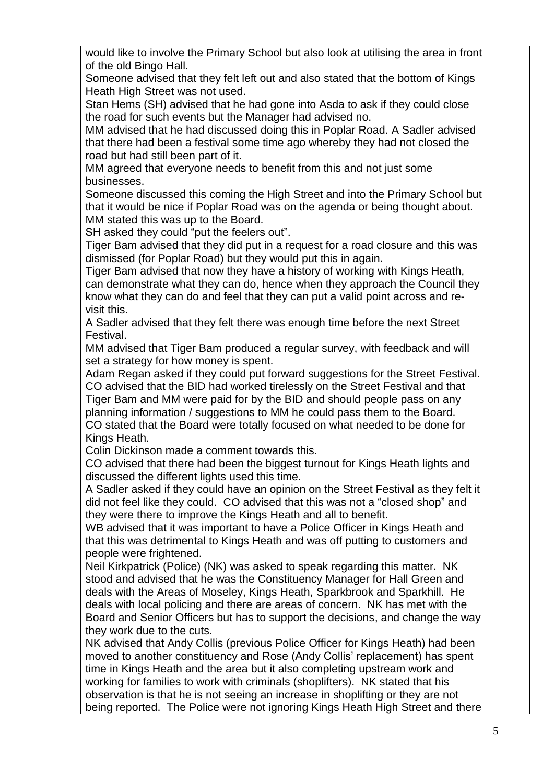would like to involve the Primary School but also look at utilising the area in front of the old Bingo Hall.

Someone advised that they felt left out and also stated that the bottom of Kings Heath High Street was not used.

Stan Hems (SH) advised that he had gone into Asda to ask if they could close the road for such events but the Manager had advised no.

MM advised that he had discussed doing this in Poplar Road. A Sadler advised that there had been a festival some time ago whereby they had not closed the road but had still been part of it.

MM agreed that everyone needs to benefit from this and not just some businesses.

Someone discussed this coming the High Street and into the Primary School but that it would be nice if Poplar Road was on the agenda or being thought about. MM stated this was up to the Board.

SH asked they could "put the feelers out".

Tiger Bam advised that they did put in a request for a road closure and this was dismissed (for Poplar Road) but they would put this in again.

Tiger Bam advised that now they have a history of working with Kings Heath, can demonstrate what they can do, hence when they approach the Council they know what they can do and feel that they can put a valid point across and revisit this.

A Sadler advised that they felt there was enough time before the next Street Festival.

MM advised that Tiger Bam produced a regular survey, with feedback and will set a strategy for how money is spent.

Adam Regan asked if they could put forward suggestions for the Street Festival. CO advised that the BID had worked tirelessly on the Street Festival and that Tiger Bam and MM were paid for by the BID and should people pass on any planning information / suggestions to MM he could pass them to the Board. CO stated that the Board were totally focused on what needed to be done for Kings Heath.

Colin Dickinson made a comment towards this.

CO advised that there had been the biggest turnout for Kings Heath lights and discussed the different lights used this time.

A Sadler asked if they could have an opinion on the Street Festival as they felt it did not feel like they could. CO advised that this was not a "closed shop" and they were there to improve the Kings Heath and all to benefit.

WB advised that it was important to have a Police Officer in Kings Heath and that this was detrimental to Kings Heath and was off putting to customers and people were frightened.

Neil Kirkpatrick (Police) (NK) was asked to speak regarding this matter. NK stood and advised that he was the Constituency Manager for Hall Green and deals with the Areas of Moseley, Kings Heath, Sparkbrook and Sparkhill. He deals with local policing and there are areas of concern. NK has met with the Board and Senior Officers but has to support the decisions, and change the way they work due to the cuts.

NK advised that Andy Collis (previous Police Officer for Kings Heath) had been moved to another constituency and Rose (Andy Collis' replacement) has spent time in Kings Heath and the area but it also completing upstream work and working for families to work with criminals (shoplifters). NK stated that his observation is that he is not seeing an increase in shoplifting or they are not being reported. The Police were not ignoring Kings Heath High Street and there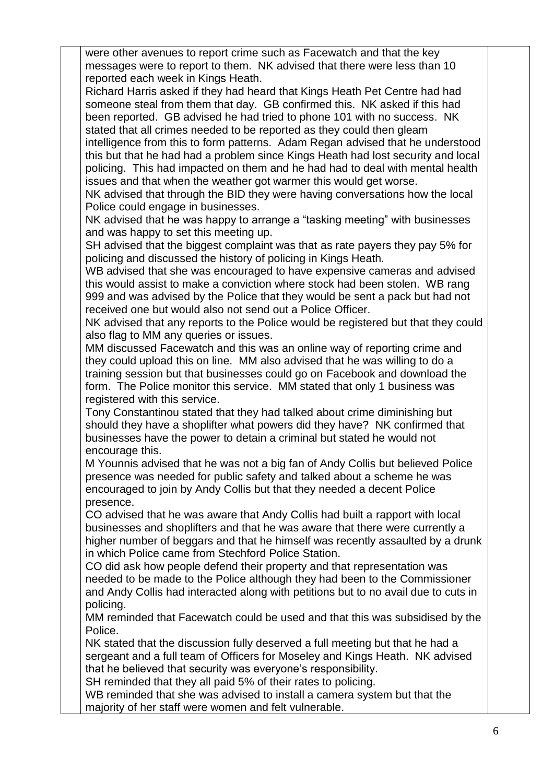were other avenues to report crime such as Facewatch and that the key messages were to report to them. NK advised that there were less than 10 reported each week in Kings Heath.

Richard Harris asked if they had heard that Kings Heath Pet Centre had had someone steal from them that day. GB confirmed this. NK asked if this had been reported. GB advised he had tried to phone 101 with no success. NK stated that all crimes needed to be reported as they could then gleam

intelligence from this to form patterns. Adam Regan advised that he understood this but that he had had a problem since Kings Heath had lost security and local policing. This had impacted on them and he had had to deal with mental health issues and that when the weather got warmer this would get worse.

NK advised that through the BID they were having conversations how the local Police could engage in businesses.

NK advised that he was happy to arrange a "tasking meeting" with businesses and was happy to set this meeting up.

SH advised that the biggest complaint was that as rate payers they pay 5% for policing and discussed the history of policing in Kings Heath.

WB advised that she was encouraged to have expensive cameras and advised this would assist to make a conviction where stock had been stolen. WB rang 999 and was advised by the Police that they would be sent a pack but had not received one but would also not send out a Police Officer.

NK advised that any reports to the Police would be registered but that they could also flag to MM any queries or issues.

MM discussed Facewatch and this was an online way of reporting crime and they could upload this on line. MM also advised that he was willing to do a training session but that businesses could go on Facebook and download the form. The Police monitor this service. MM stated that only 1 business was registered with this service.

Tony Constantinou stated that they had talked about crime diminishing but should they have a shoplifter what powers did they have? NK confirmed that businesses have the power to detain a criminal but stated he would not encourage this.

M Younnis advised that he was not a big fan of Andy Collis but believed Police presence was needed for public safety and talked about a scheme he was encouraged to join by Andy Collis but that they needed a decent Police presence.

CO advised that he was aware that Andy Collis had built a rapport with local businesses and shoplifters and that he was aware that there were currently a higher number of beggars and that he himself was recently assaulted by a drunk in which Police came from Stechford Police Station.

CO did ask how people defend their property and that representation was needed to be made to the Police although they had been to the Commissioner and Andy Collis had interacted along with petitions but to no avail due to cuts in policing.

MM reminded that Facewatch could be used and that this was subsidised by the Police.

NK stated that the discussion fully deserved a full meeting but that he had a sergeant and a full team of Officers for Moseley and Kings Heath. NK advised that he believed that security was everyone's responsibility.

SH reminded that they all paid 5% of their rates to policing.

WB reminded that she was advised to install a camera system but that the majority of her staff were women and felt vulnerable.